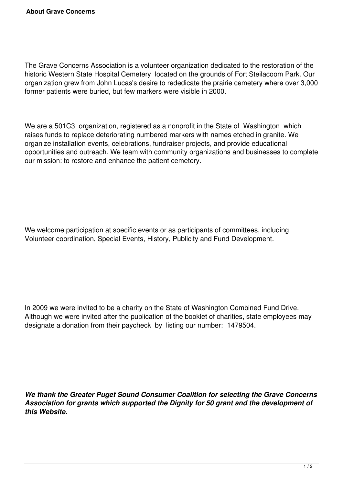The Grave Concerns Association is a volunteer organization dedicated to the restoration of the historic Western State Hospital Cemetery located on the grounds of Fort Steilacoom Park. Our organization grew from John Lucas's desire to rededicate the prairie cemetery where over 3,000 former patients were buried, but few markers were visible in 2000.

We are a 501C3 organization, registered as a nonprofit in the State of Washington which raises funds to replace deteriorating numbered markers with names etched in granite. We organize installation events, celebrations, fundraiser projects, and provide educational opportunities and outreach. We team with community organizations and businesses to complete our mission: to restore and enhance the patient cemetery.

We welcome participation at specific events or as participants of committees, including Volunteer coordination, Special Events, History, Publicity and Fund Development.

In 2009 we were invited to be a charity on the State of Washington Combined Fund Drive. Although we were invited after the publication of the booklet of charities, state employees may designate a donation from their paycheck by listing our number: 1479504.

*We thank the Greater Puget Sound Consumer Coalition for selecting the Grave Concerns Association for grants which supported the Dignity for 50 grant and the development of this Website.*